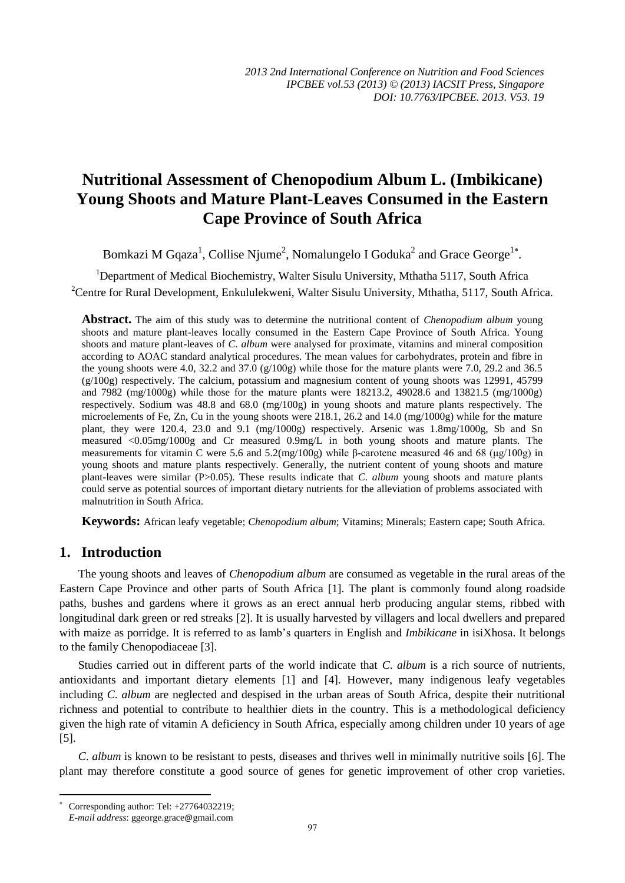# **Nutritional Assessment of Chenopodium Album L. (Imbikicane) Young Shoots and Mature Plant-Leaves Consumed in the Eastern Cape Province of South Africa**

Bomkazi M Gqaza<sup>1</sup>, Collise Njume<sup>2</sup>, Nomalungelo I Goduka<sup>2</sup> and Grace George<sup>1\*</sup>.

<sup>1</sup>Department of Medical Biochemistry, Walter Sisulu University, Mthatha 5117, South Africa <sup>2</sup>Centre for Rural Development, Enkululekweni, Walter Sisulu University, Mthatha, 5117, South Africa.

**Abstract.** The aim of this study was to determine the nutritional content of *Chenopodium album* young shoots and mature plant-leaves locally consumed in the Eastern Cape Province of South Africa. Young shoots and mature plant-leaves of *C*. *album* were analysed for proximate, vitamins and mineral composition according to AOAC standard analytical procedures. The mean values for carbohydrates, protein and fibre in the young shoots were 4.0, 32.2 and 37.0 (g/100g) while those for the mature plants were 7.0, 29.2 and 36.5  $(g/100g)$  respectively. The calcium, potassium and magnesium content of young shoots was 12991, 45799 and 7982 (mg/1000g) while those for the mature plants were 18213.2, 49028.6 and 13821.5 (mg/1000g) respectively. Sodium was 48.8 and 68.0 (mg/100g) in young shoots and mature plants respectively. The microelements of Fe, Zn, Cu in the young shoots were 218.1, 26.2 and 14.0 (mg/1000g) while for the mature plant, they were 120.4, 23.0 and 9.1 (mg/1000g) respectively. Arsenic was 1.8mg/1000g, Sb and Sn measured <0.05mg/1000g and Cr measured 0.9mg/L in both young shoots and mature plants. The measurements for vitamin C were 5.6 and 5.2(mg/100g) while β-carotene measured 46 and 68 ( $\mu$ g/100g) in young shoots and mature plants respectively. Generally, the nutrient content of young shoots and mature plant-leaves were similar (P>0.05). These results indicate that *C*. *album* young shoots and mature plants could serve as potential sources of important dietary nutrients for the alleviation of problems associated with malnutrition in South Africa.

**Keywords:** African leafy vegetable; *Chenopodium album*; Vitamins; Minerals; Eastern cape; South Africa.

# **1. Introduction**

The young shoots and leaves of *Chenopodium album* are consumed as vegetable in the rural areas of the Eastern Cape Province and other parts of South Africa [1]. The plant is commonly found along roadside paths, bushes and gardens where it grows as an erect annual herb producing angular stems, ribbed with longitudinal dark green or red streaks [2]. It is usually harvested by villagers and local dwellers and prepared with maize as porridge. It is referred to as lamb's quarters in English and *Imbikicane* in isiXhosa. It belongs to the family Chenopodiaceae [3].

Studies carried out in different parts of the world indicate that *C*. *album* is a rich source of nutrients, antioxidants and important dietary elements [1] and [4]. However, many indigenous leafy vegetables including *C*. *album* are neglected and despised in the urban areas of South Africa, despite their nutritional richness and potential to contribute to healthier diets in the country. This is a methodological deficiency given the high rate of vitamin A deficiency in South Africa, especially among children under 10 years of age [5].

*C*. *album* is known to be resistant to pests, diseases and thrives well in minimally nutritive soils [6]. The plant may therefore constitute a good source of genes for genetic improvement of other crop varieties.

 $\overline{a}$ 

<sup>\*</sup> Corresponding author: Tel: +27764032219;

*E-mail address*: [ggeorge](mailto:ggeorge.grace@gmail.com).grace@gmail.com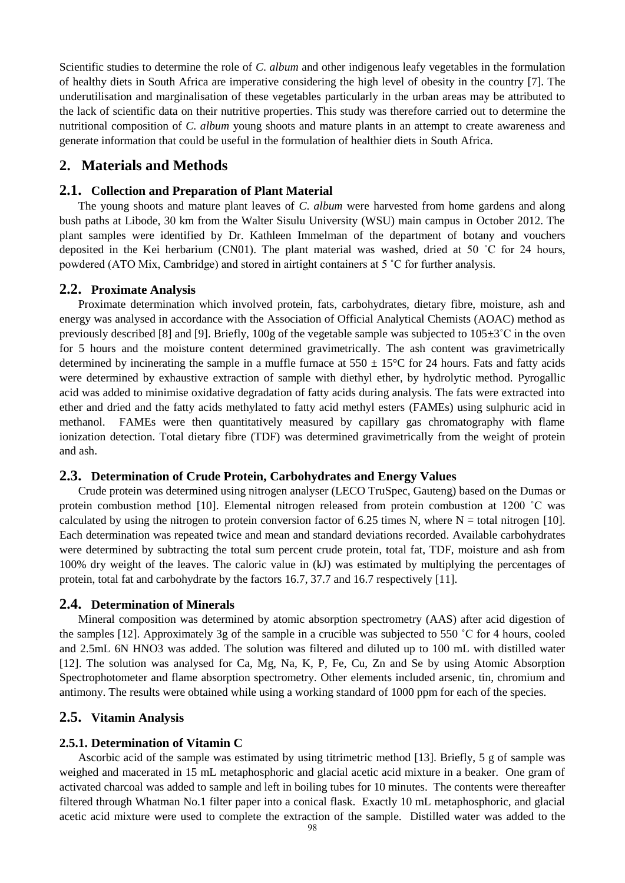Scientific studies to determine the role of *C*. *album* and other indigenous leafy vegetables in the formulation of healthy diets in South Africa are imperative considering the high level of obesity in the country [7]. The underutilisation and marginalisation of these vegetables particularly in the urban areas may be attributed to the lack of scientific data on their nutritive properties. This study was therefore carried out to determine the nutritional composition of *C*. *album* young shoots and mature plants in an attempt to create awareness and generate information that could be useful in the formulation of healthier diets in South Africa.

# **2. Materials and Methods**

#### **2.1. Collection and Preparation of Plant Material**

The young shoots and mature plant leaves of *C*. *album* were harvested from home gardens and along bush paths at Libode, 30 km from the Walter Sisulu University (WSU) main campus in October 2012. The plant samples were identified by Dr. Kathleen Immelman of the department of botany and vouchers deposited in the Kei herbarium (CN01). The plant material was washed, dried at 50 ˚C for 24 hours, powdered (ATO Mix, Cambridge) and stored in airtight containers at 5 ˚C for further analysis.

#### **2.2. Proximate Analysis**

Proximate determination which involved protein, fats, carbohydrates, dietary fibre, moisture, ash and energy was analysed in accordance with the Association of Official Analytical Chemists (AOAC) method as previously described [8] and [9]. Briefly, 100g of the vegetable sample was subjected to  $105±3°C$  in the oven for 5 hours and the moisture content determined gravimetrically. The ash content was gravimetrically determined by incinerating the sample in a muffle furnace at  $550 \pm 15$ °C for 24 hours. Fats and fatty acids were determined by exhaustive extraction of sample with diethyl ether, by hydrolytic method. Pyrogallic acid was added to minimise oxidative degradation of fatty acids during analysis. The fats were extracted into ether and dried and the fatty acids methylated to fatty acid methyl esters (FAMEs) using sulphuric acid in methanol. FAMEs were then quantitatively measured by capillary gas chromatography with flame ionization detection. Total dietary fibre (TDF) was determined gravimetrically from the weight of protein and ash.

#### **2.3. Determination of Crude Protein, Carbohydrates and Energy Values**

Crude protein was determined using nitrogen analyser (LECO TruSpec, Gauteng) based on the Dumas or protein combustion method [10]. Elemental nitrogen released from protein combustion at 1200 ˚C was calculated by using the nitrogen to protein conversion factor of 6.25 times N, where  $N =$  total nitrogen [10]. Each determination was repeated twice and mean and standard deviations recorded. Available carbohydrates were determined by subtracting the total sum percent crude protein, total fat, TDF, moisture and ash from 100% dry weight of the leaves. The caloric value in (kJ) was estimated by multiplying the percentages of protein, total fat and carbohydrate by the factors 16.7, 37.7 and 16.7 respectively [11].

#### **2.4. Determination of Minerals**

Mineral composition was determined by atomic absorption spectrometry (AAS) after acid digestion of the samples [12]. Approximately 3g of the sample in a crucible was subjected to 550 ˚C for 4 hours, cooled and 2.5mL 6N HNO3 was added. The solution was filtered and diluted up to 100 mL with distilled water [12]. The solution was analysed for Ca, Mg, Na, K, P, Fe, Cu, Zn and Se by using Atomic Absorption Spectrophotometer and flame absorption spectrometry. Other elements included arsenic, tin, chromium and antimony. The results were obtained while using a working standard of 1000 ppm for each of the species.

#### **2.5. Vitamin Analysis**

#### **2.5.1. Determination of Vitamin C**

Ascorbic acid of the sample was estimated by using titrimetric method [13]. Briefly, 5 g of sample was weighed and macerated in 15 mL metaphosphoric and glacial acetic acid mixture in a beaker. One gram of activated charcoal was added to sample and left in boiling tubes for 10 minutes. The contents were thereafter filtered through Whatman No.1 filter paper into a conical flask. Exactly 10 mL metaphosphoric, and glacial acetic acid mixture were used to complete the extraction of the sample. Distilled water was added to the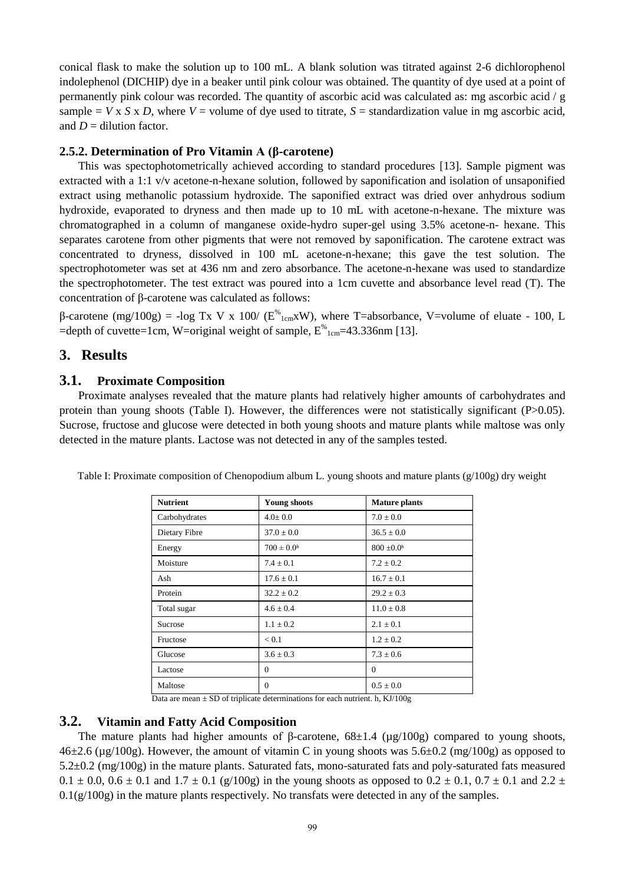conical flask to make the solution up to 100 mL. A blank solution was titrated against 2-6 dichlorophenol indolephenol (DICHIP) dye in a beaker until pink colour was obtained. The quantity of dye used at a point of permanently pink colour was recorded. The quantity of ascorbic acid was calculated as: mg ascorbic acid / g sample  $= V \times S \times D$ , where  $V =$  volume of dye used to titrate,  $S =$  standardization value in mg ascorbic acid, and  $D =$  dilution factor.

#### **2.5.2. Determination of Pro Vitamin A (β-carotene)**

This was spectophotometrically achieved according to standard procedures [13]. Sample pigment was extracted with a 1:1 v/v acetone-n-hexane solution, followed by saponification and isolation of unsaponified extract using methanolic potassium hydroxide. The saponified extract was dried over anhydrous sodium hydroxide, evaporated to dryness and then made up to 10 mL with acetone-n-hexane. The mixture was chromatographed in a column of manganese oxide-hydro super-gel using 3.5% acetone-n- hexane. This separates carotene from other pigments that were not removed by saponification. The carotene extract was concentrated to dryness, dissolved in 100 mL acetone-n-hexane; this gave the test solution. The spectrophotometer was set at 436 nm and zero absorbance. The acetone-n-hexane was used to standardize the spectrophotometer. The test extract was poured into a 1cm cuvette and absorbance level read (T). The concentration of β-carotene was calculated as follows:

β-carotene (mg/100g) = -log Tx V x 100/ ( $E^{\%}$ <sub>1cm</sub>xW), where T=absorbance, V=volume of eluate - 100, L =depth of cuvette=1cm, W=original weight of sample,  $E^{\%}$ <sub>1cm</sub>=43.336nm [13].

# **3. Results**

#### **3.1. Proximate Composition**

Proximate analyses revealed that the mature plants had relatively higher amounts of carbohydrates and protein than young shoots (Table I). However, the differences were not statistically significant (P>0.05). Sucrose, fructose and glucose were detected in both young shoots and mature plants while maltose was only detected in the mature plants. Lactose was not detected in any of the samples tested.

| <b>Nutrient</b> | <b>Young shoots</b>   | <b>Mature plants</b>       |
|-----------------|-----------------------|----------------------------|
| Carbohydrates   | $4.0 \pm 0.0$         | $7.0 \pm 0.0$              |
| Dietary Fibre   | $37.0 \pm 0.0$        | $36.5 \pm 0.0$             |
| Energy          | $700 \pm 0.0^{\rm h}$ | $800 \pm 0.0$ <sup>h</sup> |
| Moisture        | $7.4 \pm 0.1$         | $7.2 \pm 0.2$              |
| Ash             | $17.6 + 0.1$          | $16.7 + 0.1$               |
| Protein         | $32.2 + 0.2$          | $29.2 + 0.3$               |
| Total sugar     | $4.6 + 0.4$           | $11.0 \pm 0.8$             |
| Sucrose         | $1.1 + 0.2$           | $2.1 + 0.1$                |
| Fructose        | < 0.1                 | $1.2 + 0.2$                |
| Glucose         | $3.6 \pm 0.3$         | $7.3 \pm 0.6$              |
| Lactose         | $\Omega$              | $\Omega$                   |
| Maltose         | $\Omega$              | $0.5 \pm 0.0$              |

Table I: Proximate composition of Chenopodium album L. young shoots and mature plants (g/100g) dry weight

Data are mean  $\pm$  SD of triplicate determinations for each nutrient. h, KJ/100g

### **3.2. Vitamin and Fatty Acid Composition**

The mature plants had higher amounts of β-carotene,  $68\pm1.4$  ( $\mu$ g/100g) compared to young shoots,  $46\pm2.6$  ( $\mu$ g/100g). However, the amount of vitamin C in young shoots was  $5.6\pm0.2$  (mg/100g) as opposed to 5.2±0.2 (mg/100g) in the mature plants. Saturated fats, mono-saturated fats and poly-saturated fats measured 0.1  $\pm$  0.0, 0.6  $\pm$  0.1 and 1.7  $\pm$  0.1 (g/100g) in the young shoots as opposed to 0.2  $\pm$  0.1, 0.7  $\pm$  0.1 and 2.2  $\pm$  $0.1(g/100g)$  in the mature plants respectively. No transfats were detected in any of the samples.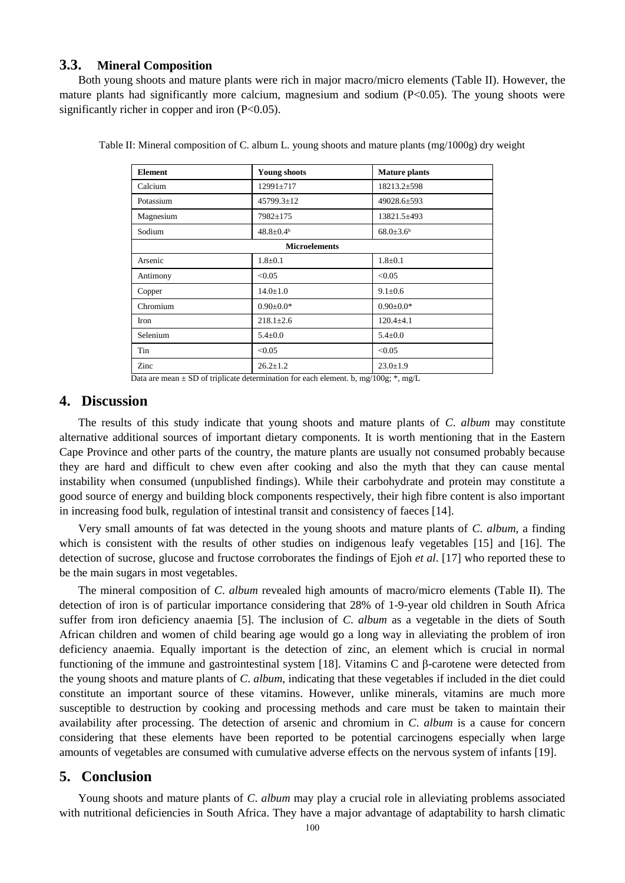#### **3.3. Mineral Composition**

Both young shoots and mature plants were rich in major macro/micro elements (Table II). However, the mature plants had significantly more calcium, magnesium and sodium (P<0.05). The young shoots were significantly richer in copper and iron  $(P<0.05)$ .

| <b>Element</b>       | <b>Young shoots</b>    | <b>Mature plants</b>   |
|----------------------|------------------------|------------------------|
| Calcium              | 12991±717              | 18213.2±598            |
| Potassium            | $45799.3 \pm 12$       | 49028.6±593            |
| Magnesium            | 7982±175               | 13821.5±493            |
| Sodium               | $48.8 \pm 0.4^{\circ}$ | $68.0 \pm 3.6^{\circ}$ |
| <b>Microelements</b> |                        |                        |
| Arsenic              | $1.8 + 0.1$            | $1.8 + 0.1$            |
| Antimony             | < 0.05                 | < 0.05                 |
| Copper               | $14.0 \pm 1.0$         | $9.1 \pm 0.6$          |
| Chromium             | $0.90 + 0.0*$          | $0.90 + 0.0*$          |
| <b>Iron</b>          | $218.1 \pm 2.6$        | $120.4 + 4.1$          |
| Selenium             | $5.4 \pm 0.0$          | $5.4 \pm 0.0$          |
| Tin                  | < 0.05                 | < 0.05                 |
| Zinc                 | $26.2 \pm 1.2$         | $23.0 \pm 1.9$         |

Table II: Mineral composition of C. album L. young shoots and mature plants (mg/1000g) dry weight

Data are mean  $\pm$  SD of triplicate determination for each element. b, mg/100g; \*, mg/L

# **4. Discussion**

The results of this study indicate that young shoots and mature plants of *C*. *album* may constitute alternative additional sources of important dietary components. It is worth mentioning that in the Eastern Cape Province and other parts of the country, the mature plants are usually not consumed probably because they are hard and difficult to chew even after cooking and also the myth that they can cause mental instability when consumed (unpublished findings). While their carbohydrate and protein may constitute a good source of energy and building block components respectively, their high fibre content is also important in increasing food bulk, regulation of intestinal transit and consistency of faeces [14].

Very small amounts of fat was detected in the young shoots and mature plants of *C*. *album*, a finding which is consistent with the results of other studies on indigenous leafy vegetables [15] and [16]. The detection of sucrose, glucose and fructose corroborates the findings of Ejoh *et al*. [17] who reported these to be the main sugars in most vegetables.

The mineral composition of *C*. *album* revealed high amounts of macro/micro elements (Table II). The detection of iron is of particular importance considering that 28% of 1-9-year old children in South Africa suffer from iron deficiency anaemia [5]. The inclusion of *C*. *album* as a vegetable in the diets of South African children and women of child bearing age would go a long way in alleviating the problem of iron deficiency anaemia. Equally important is the detection of zinc, an element which is crucial in normal functioning of the immune and gastrointestinal system [18]. Vitamins C and β-carotene were detected from the young shoots and mature plants of *C*. *album*, indicating that these vegetables if included in the diet could constitute an important source of these vitamins. However, unlike minerals, vitamins are much more susceptible to destruction by cooking and processing methods and care must be taken to maintain their availability after processing. The detection of arsenic and chromium in *C*. *album* is a cause for concern considering that these elements have been reported to be potential carcinogens especially when large amounts of vegetables are consumed with cumulative adverse effects on the nervous system of infants [19].

# **5. Conclusion**

Young shoots and mature plants of *C*. *album* may play a crucial role in alleviating problems associated with nutritional deficiencies in South Africa. They have a major advantage of adaptability to harsh climatic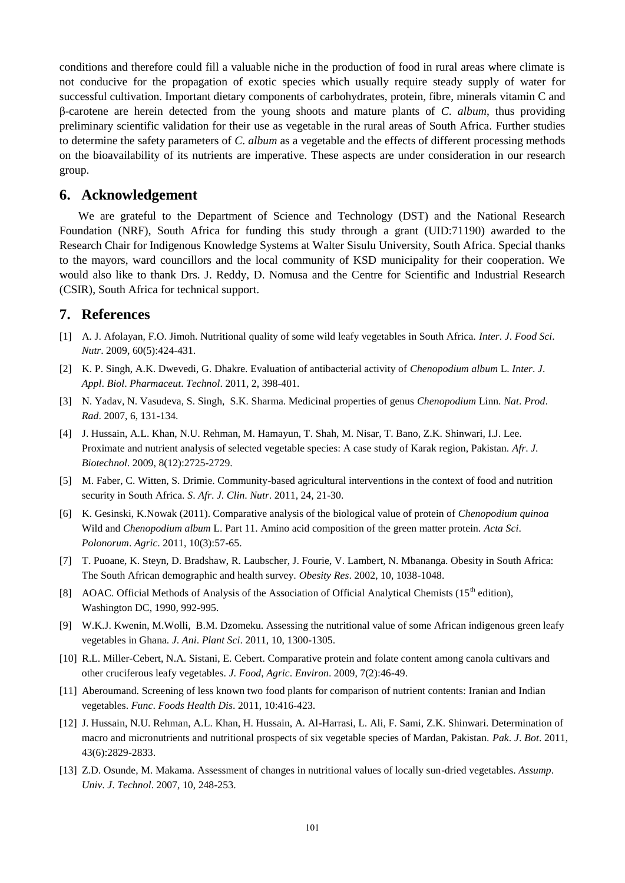conditions and therefore could fill a valuable niche in the production of food in rural areas where climate is not conducive for the propagation of exotic species which usually require steady supply of water for successful cultivation. Important dietary components of carbohydrates, protein, fibre, minerals vitamin C and β-carotene are herein detected from the young shoots and mature plants of *C*. *album*, thus providing preliminary scientific validation for their use as vegetable in the rural areas of South Africa. Further studies to determine the safety parameters of *C*. *album* as a vegetable and the effects of different processing methods on the bioavailability of its nutrients are imperative. These aspects are under consideration in our research group.

# **6. Acknowledgement**

We are grateful to the Department of Science and Technology (DST) and the National Research Foundation (NRF), South Africa for funding this study through a grant (UID:71190) awarded to the Research Chair for Indigenous Knowledge Systems at Walter Sisulu University, South Africa. Special thanks to the mayors, ward councillors and the local community of KSD municipality for their cooperation. We would also like to thank Drs. J. Reddy, D. Nomusa and the Centre for Scientific and Industrial Research (CSIR), South Africa for technical support.

# **7. References**

- [1] A. J. Afolayan, F.O. Jimoh. Nutritional quality of some wild leafy vegetables in South Africa. *Inter*. *J*. *Food Sci*. *Nutr*. 2009, 60(5):424-431.
- [2] K. P. Singh, A.K. Dwevedi, G. Dhakre. Evaluation of antibacterial activity of *Chenopodium album* L. *Inter*. *J*. *Appl*. *Biol*. *Pharmaceut*. *Technol*. 2011, 2, 398-401.
- [3] N. Yadav, N. Vasudeva, S. Singh, S.K. Sharma. Medicinal properties of genus *Chenopodium* Linn. *Nat*. *Prod*. *Rad*. 2007, 6, 131-134.
- [4] J. Hussain, A.L. Khan, N.U. Rehman, M. Hamayun, T. Shah, M. Nisar, T. Bano, Z.K. Shinwari, I.J. Lee. Proximate and nutrient analysis of selected vegetable species: A case study of Karak region, Pakistan. *Afr*. *J*. *Biotechnol*. 2009, 8(12):2725-2729.
- [5] M. Faber, C. Witten, S. Drimie. Community-based agricultural interventions in the context of food and nutrition security in South Africa. *S*. *Afr*. *J*. *Clin*. *Nutr*. 2011, 24, 21-30.
- [6] K. Gesinski, K.Nowak (2011). Comparative analysis of the biological value of protein of *Chenopodium quinoa* Wild and *Chenopodium album* L. Part 11. Amino acid composition of the green matter protein. *Acta Sci*. *Polonorum*. *Agric*. 2011, 10(3):57-65.
- [7] T. Puoane, K. Steyn, D. Bradshaw, R. Laubscher, J. Fourie, V. Lambert, N. Mbananga. Obesity in South Africa: The South African demographic and health survey. *Obesity Res*. 2002, 10, 1038-1048.
- [8] AOAC. Official Methods of Analysis of the Association of Official Analytical Chemists (15<sup>th</sup> edition), Washington DC, 1990, 992-995.
- [9] W.K.J. Kwenin, M.Wolli, B.M. Dzomeku. Assessing the nutritional value of some African indigenous green leafy vegetables in Ghana. *J*. *Ani*. *Plant Sci*. 2011, 10, 1300-1305.
- [10] R.L. Miller-Cebert, N.A. Sistani, E. Cebert. Comparative protein and folate content among canola cultivars and other cruciferous leafy vegetables. *J*. *Food*, *Agric*. *Environ*. 2009, 7(2):46-49.
- [11] Aberoumand. Screening of less known two food plants for comparison of nutrient contents: Iranian and Indian vegetables. *Func*. *Foods Health Dis*. 2011, 10:416-423.
- [12] J. Hussain, N.U. Rehman, A.L. Khan, H. Hussain, A. Al-Harrasi, L. Ali, F. Sami, Z.K. Shinwari. Determination of macro and micronutrients and nutritional prospects of six vegetable species of Mardan, Pakistan. *Pak*. *J*. *Bot*. 2011, 43(6):2829-2833.
- [13] Z.D. Osunde, M. Makama. Assessment of changes in nutritional values of locally sun-dried vegetables. *Assump*. *Univ*. *J*. *Technol*. 2007, 10, 248-253.